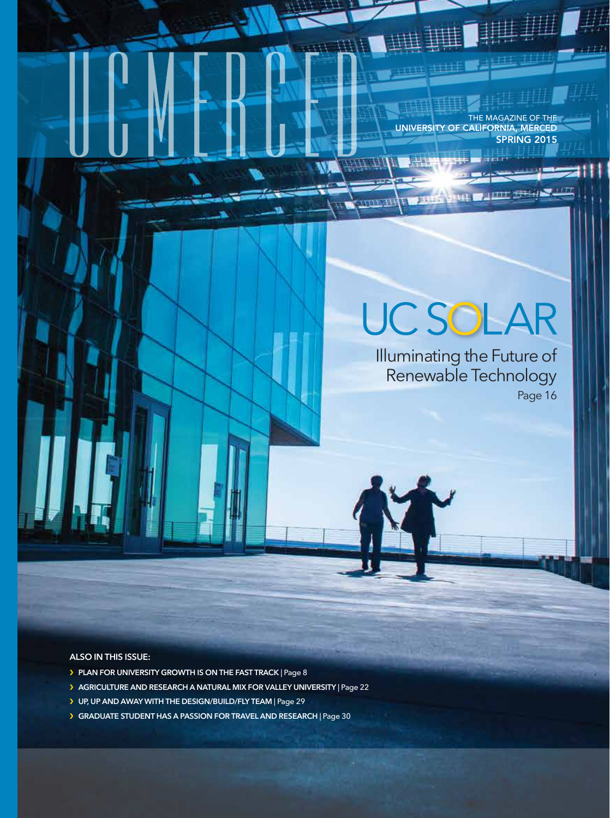THE MAGAZINE OF THE UNIVERSITY OF CALIFORNIA, MERCED SPRING 2015

# **UCSOLAR**

n an

Illuminating the Future of Renewable Technology Page 16

**ALSO IN THIS ISSUE:**

- ❯ **PLAN FOR UNIVERSITY GROWTH IS ON THE FAST TRACK** | Page 8
- ❯ **AGRICULTURE AND RESEARCH A NATURAL MIX FOR VALLEY UNIVERSITY** | Page 22
- ❯ **UP, UP AND AWAY WITH THE DESIGN/BUILD/FLY TEAM** | Page 29
- ❯ **GRADUATE STUDENT HAS A PASSION FOR TRAVEL AND RESEARCH** | Page 30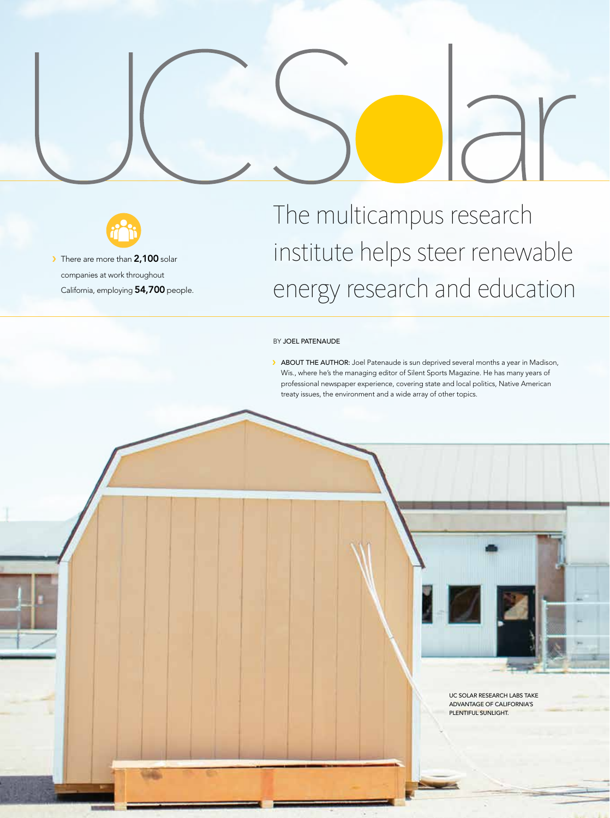



> There are more than 2,100 solar companies at work throughout California, employing 54,700 people.

# The multicampus research institute helps steer renewable energy research and education

#### BY JOEL PATENAUDE

ABOUT THE AUTHOR: Joel Patenaude is sun deprived several months a year in Madison, Wis., where he's the managing editor of Silent Sports Magazine. He has many years of professional newspaper experience, covering state and local politics, Native American treaty issues, the environment and a wide array of other topics.



UC Solar research labs take advantage of California's plentiful sunlight.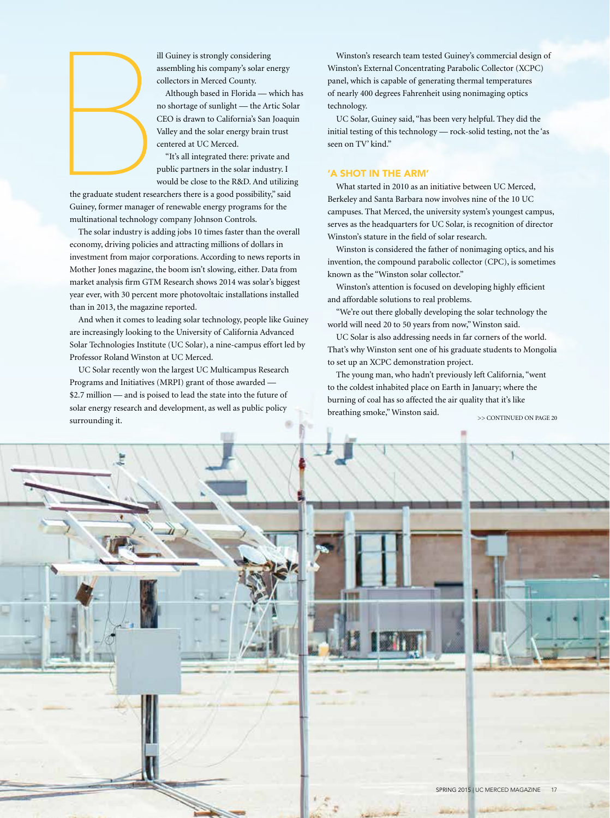

ill Guiney is strongly considering assembling his company's solar energy collectors in Merced County.

Although based in Florida — which has no shortage of sunlight — the Artic Solar CEO is drawn to California's San Joaquin Valley and the solar energy brain trust centered at UC Merced.

"It's all integrated there: private and public partners in the solar industry. I would be close to the R&D. And utilizing

the graduate student researchers there is a good possibility," said Guiney, former manager of renewable energy programs for the multinational technology company Johnson Controls.

The solar industry is adding jobs 10 times faster than the overall economy, driving policies and attracting millions of dollars in investment from major corporations. According to news reports in Mother Jones magazine, the boom isn't slowing, either. Data from market analysis firm GTM Research shows 2014 was solar's biggest year ever, with 30 percent more photovoltaic installations installed than in 2013, the magazine reported.

And when it comes to leading solar technology, people like Guiney are increasingly looking to the University of California Advanced Solar Technologies Institute (UC Solar), a nine-campus effort led by Professor Roland Winston at UC Merced.

UC Solar recently won the largest UC Multicampus Research Programs and Initiatives (MRPI) grant of those awarded — \$2.7 million — and is poised to lead the state into the future of solar energy research and development, as well as public policy surrounding it.

Winston's research team tested Guiney's commercial design of Winston's External Concentrating Parabolic Collector (XCPC) panel, which is capable of generating thermal temperatures of nearly 400 degrees Fahrenheit using nonimaging optics technology.

UC Solar, Guiney said, "has been very helpful. They did the initial testing of this technology — rock-solid testing, not the 'as seen on TV' kind."

## 'A shot in the arm'

What started in 2010 as an initiative between UC Merced, Berkeley and Santa Barbara now involves nine of the 10 UC campuses. That Merced, the university system's youngest campus, serves as the headquarters for UC Solar, is recognition of director Winston's stature in the field of solar research.

Winston is considered the father of nonimaging optics, and his invention, the compound parabolic collector (CPC), is sometimes known as the "Winston solar collector."

Winston's attention is focused on developing highly efficient and affordable solutions to real problems.

"We're out there globally developing the solar technology the world will need 20 to 50 years from now," Winston said.

UC Solar is also addressing needs in far corners of the world. That's why Winston sent one of his graduate students to Mongolia to set up an XCPC demonstration project.

The young man, who hadn't previously left California, "went to the coldest inhabited place on Earth in January; where the burning of coal has so affected the air quality that it's like breathing smoke," Winston said. >> CONTINUED ON PAGE 20





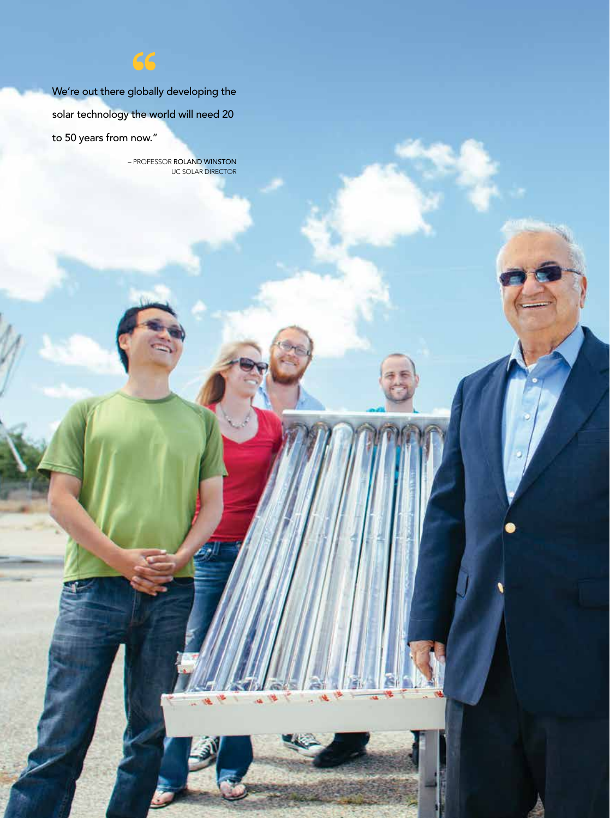We're out there globally developing the solar technology the world will need 20 to 50 years from now."

66

– PROFESSOR ROLAND WINSTON UC SOLAR DIRECTOR

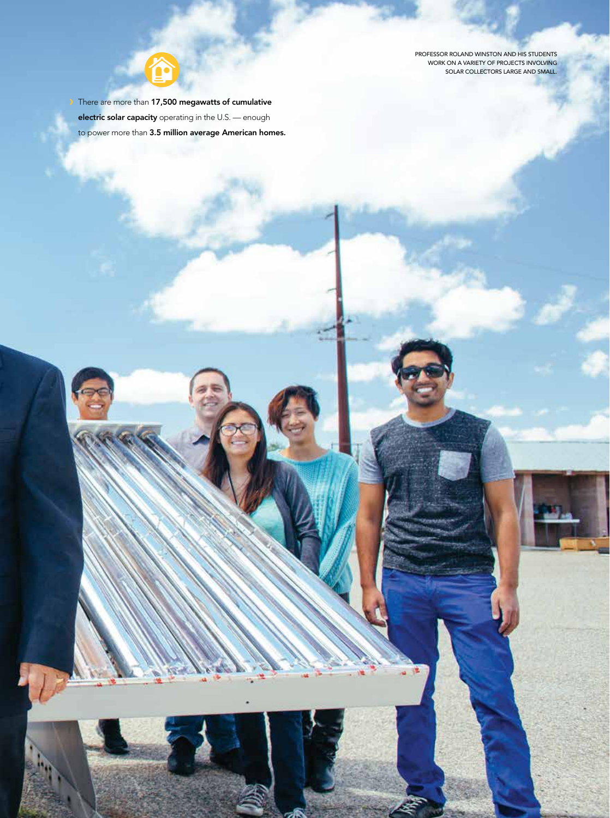Professor Roland Winston and his students work on a variety of projects involving solar collectors large and small.

There are more than 17,500 megawatts of cumulative electric solar capacity operating in the U.S. — enough to power more than 3.5 million average American homes.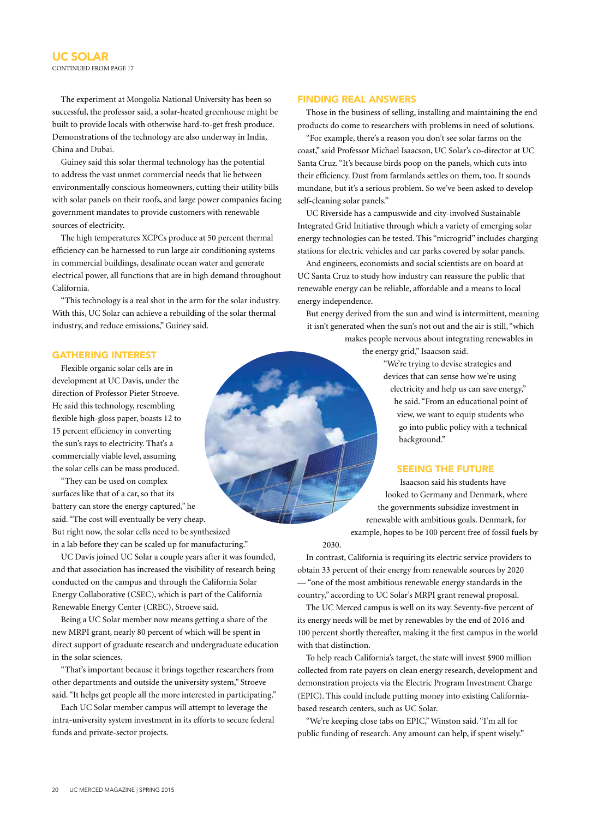The experiment at Mongolia National University has been so successful, the professor said, a solar-heated greenhouse might be built to provide locals with otherwise hard-to-get fresh produce. Demonstrations of the technology are also underway in India, China and Dubai.

Guiney said this solar thermal technology has the potential to address the vast unmet commercial needs that lie between environmentally conscious homeowners, cutting their utility bills with solar panels on their roofs, and large power companies facing government mandates to provide customers with renewable sources of electricity.

The high temperatures XCPCs produce at 50 percent thermal efficiency can be harnessed to run large air conditioning systems in commercial buildings, desalinate ocean water and generate electrical power, all functions that are in high demand throughout California.

"This technology is a real shot in the arm for the solar industry. With this, UC Solar can achieve a rebuilding of the solar thermal industry, and reduce emissions," Guiney said.

### Finding real answers

Those in the business of selling, installing and maintaining the end products do come to researchers with problems in need of solutions.

"For example, there's a reason you don't see solar farms on the coast," said Professor Michael Isaacson, UC Solar's co-director at UC Santa Cruz. "It's because birds poop on the panels, which cuts into their efficiency. Dust from farmlands settles on them, too. It sounds mundane, but it's a serious problem. So we've been asked to develop self-cleaning solar panels."

UC Riverside has a campuswide and city-involved Sustainable Integrated Grid Initiative through which a variety of emerging solar energy technologies can be tested. This "microgrid" includes charging stations for electric vehicles and car parks covered by solar panels.

And engineers, economists and social scientists are on board at UC Santa Cruz to study how industry can reassure the public that renewable energy can be reliable, affordable and a means to local energy independence.

But energy derived from the sun and wind is intermittent, meaning it isn't generated when the sun's not out and the air is still, "which

> makes people nervous about integrating renewables in the energy grid," Isaacson said.

> > "We're trying to devise strategies and devices that can sense how we're using electricity and help us can save energy," he said. "From an educational point of view, we want to equip students who go into public policy with a technical background."

### Seeing the future

Isaacson said his students have looked to Germany and Denmark, where the governments subsidize investment in renewable with ambitious goals. Denmark, for example, hopes to be 100 percent free of fossil fuels by

In contrast, California is requiring its electric service providers to obtain 33 percent of their energy from renewable sources by 2020 — "one of the most ambitious renewable energy standards in the country," according to UC Solar's MRPI grant renewal proposal.

2030.

The UC Merced campus is well on its way. Seventy-five percent of its energy needs will be met by renewables by the end of 2016 and 100 percent shortly thereafter, making it the first campus in the world with that distinction.

To help reach California's target, the state will invest \$900 million collected from rate payers on clean energy research, development and demonstration projects via the Electric Program Investment Charge (EPIC). This could include putting money into existing Californiabased research centers, such as UC Solar.

"We're keeping close tabs on EPIC," Winston said. "I'm all for public funding of research. Any amount can help, if spent wisely."

#### Gathering interest

Flexible organic solar cells are in development at UC Davis, under the direction of Professor Pieter Stroeve. He said this technology, resembling flexible high-gloss paper, boasts 12 to 15 percent efficiency in converting the sun's rays to electricity. That's a commercially viable level, assuming the solar cells can be mass produced.

"They can be used on complex surfaces like that of a car, so that its battery can store the energy captured," he said. "The cost will eventually be very cheap. But right now, the solar cells need to be synthesized in a lab before they can be scaled up for manufacturing."

UC Davis joined UC Solar a couple years after it was founded, and that association has increased the visibility of research being conducted on the campus and through the California Solar Energy Collaborative (CSEC), which is part of the California Renewable Energy Center (CREC), Stroeve said.

Being a UC Solar member now means getting a share of the new MRPI grant, nearly 80 percent of which will be spent in direct support of graduate research and undergraduate education in the solar sciences.

"That's important because it brings together researchers from other departments and outside the university system," Stroeve said. "It helps get people all the more interested in participating."

Each UC Solar member campus will attempt to leverage the intra-university system investment in its efforts to secure federal funds and private-sector projects.